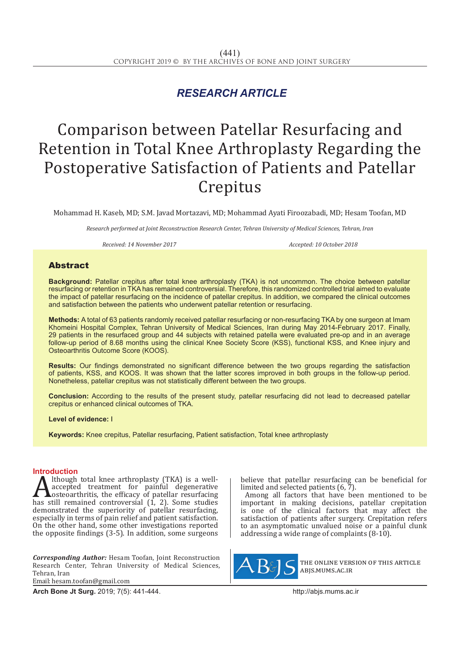## *RESEARCH ARTICLE*

# Comparison between Patellar Resurfacing and Retention in Total Knee Arthroplasty Regarding the Postoperative Satisfaction of Patients and Patellar Crepitus

Mohammad H. Kaseb, MD; S.M. Javad Mortazavi, MD; Mohammad Ayati Firoozabadi, MD; Hesam Toofan, MD

*Research performed at Joint Reconstruction Research Center, Tehran University of Medical Sciences, Tehran, Iran*

*Received: 14 November 2017 Accepted: 10 October 2018*

### **Abstract**

**Background:** Patellar crepitus after total knee arthroplasty (TKA) is not uncommon. The choice between patellar resurfacing or retention in TKA has remained controversial. Therefore, this randomized controlled trial aimed to evaluate the impact of patellar resurfacing on the incidence of patellar crepitus. In addition, we compared the clinical outcomes and satisfaction between the patients who underwent patellar retention or resurfacing.

**Methods:** A total of 63 patients randomly received patellar resurfacing or non-resurfacing TKA by one surgeon at Imam Khomeini Hospital Complex, Tehran University of Medical Sciences, Iran during May 2014-February 2017. Finally, 29 patients in the resurfaced group and 44 subjects with retained patella were evaluated pre-op and in an average follow-up period of 8.68 months using the clinical Knee Society Score (KSS), functional KSS, and Knee injury and Osteoarthritis Outcome Score (KOOS).

**Results:** Our findings demonstrated no significant difference between the two groups regarding the satisfaction of patients, KSS, and KOOS. It was shown that the latter scores improved in both groups in the follow-up period. Nonetheless, patellar crepitus was not statistically different between the two groups.

**Conclusion:** According to the results of the present study, patellar resurfacing did not lead to decreased patellar crepitus or enhanced clinical outcomes of TKA.

**Level of evidence:** I

**Keywords:** Knee crepitus, Patellar resurfacing, Patient satisfaction, Total knee arthroplasty

**Introduction**<br>**A** lthough total knee arthroplasty (TKA) is a well-Although total knee arthroplasty (TKA) is a well-<br>accepted treatment for painful degenerative<br>bosteoarthritis, the efficacy of patellar resurfacing<br>has still remained controversial (1, 2). Some studies accepted treatment for painful degenerative osteoarthritis, the efficacy of patellar resurfacing has still remained controversial (1, 2). Some studies demonstrated the superiority of patellar resurfacing, especially in terms of pain relief and patient satisfaction. On the other hand, some other investigations reported the opposite findings (3-5). In addition, some surgeons

*Corresponding Author:* Hesam Toofan, Joint Reconstruction Research Center, Tehran University of Medical Sciences, Tehran, Iran Email: hesam.toofan@gmail.com

**Arch Bone Jt Surg.** 2019; 7(5): 441-444.http://abjs.mums.ac.ir

believe that patellar resurfacing can be beneficial for limited and selected patients (6, 7).

Among all factors that have been mentioned to be important in making decisions, patellar crepitation is one of the clinical factors that may affect the satisfaction of patients after surgery. Crepitation refers to an asymptomatic unvalued noise or a painful clunk addressing a wide range of complaints (8-10).



the online version of this article abjs.mums.ac.ir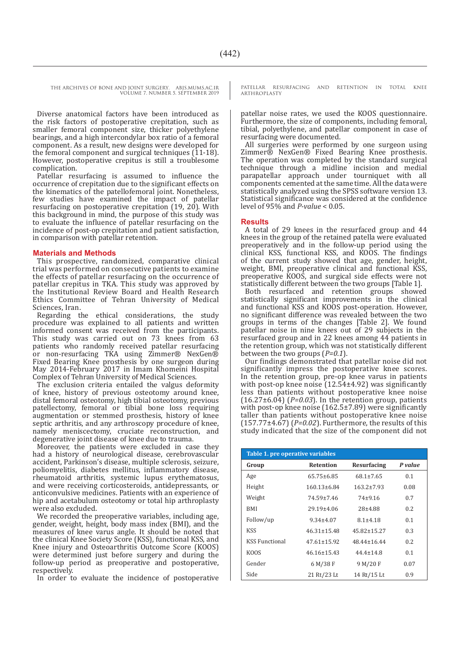THE ARCHIVES OF BONE AND JOINT SURGERY. ABJS.MUMS.AC.IR VOLUME 7. NUMBER 5. SEPTEMBER 2019

Diverse anatomical factors have been introduced as the risk factors of postoperative crepitation, such as smaller femoral component size, thicker polyethylene bearings, and a high intercondylar box ratio of a femoral component. As a result, new designs were developed for the femoral component and surgical techniques (11-18). However, postoperative crepitus is still a troublesome complication.

Patellar resurfacing is assumed to influence the occurrence of crepitation due to the significant effects on the kinematics of the patellofemoral joint. Nonetheless, few studies have examined the impact of patellar resurfacing on postoperative crepitation (19, 20). With this background in mind, the purpose of this study was to evaluate the influence of patellar resurfacing on the incidence of post-op crepitation and patient satisfaction, in comparison with patellar retention.

#### **Materials and Methods**

This prospective, randomized, comparative clinical trial was performed on consecutive patients to examine the effects of patellar resurfacing on the occurrence of patellar crepitus in TKA. This study was approved by the Institutional Review Board and Health Research Ethics Committee of Tehran University of Medical Sciences, Iran.

Regarding the ethical considerations, the study procedure was explained to all patients and written informed consent was received from the participants. This study was carried out on 73 knees from 63 patients who randomly received patellar resurfacing or non-resurfacing TKA using Zimmer® NexGen® Fixed Bearing Knee prosthesis by one surgeon during May 2014-February 2017 in Imam Khomeini Hospital Complex of Tehran University of Medical Sciences.

The exclusion criteria entailed the valgus deformity of knee, history of previous osteotomy around knee, distal femoral osteotomy, high tibial osteotomy, previous patellectomy, femoral or tibial bone loss requiring augmentation or stemmed prosthesis, history of knee septic arthritis, and any arthroscopy procedure of knee, namely meniscectomy, cruciate reconstruction, and degenerative joint disease of knee due to trauma.

Moreover, the patients were excluded in case they had a history of neurological disease, cerebrovascular accident, Parkinson's disease, multiple sclerosis, seizure, poliomyelitis, diabetes mellitus, inflammatory disease, rheumatoid arthritis, systemic lupus erythematosus, and were receiving corticosteroids, antidepressants, or anticonvulsive medicines. Patients with an experience of hip and acetabulum osteotomy or total hip arthroplasty were also excluded.

We recorded the preoperative variables, including age, gender, weight, height, body mass index (BMI), and the measures of knee varus angle. It should be noted that the clinical Knee Society Score (KSS), functional KSS, and Knee injury and Osteoarthritis Outcome Score (KOOS) were determined just before surgery and during the follow-up period as preoperative and postoperative, respectively.

In order to evaluate the incidence of postoperative

PATELLAR RESURFACING AND RETENTION IN TOTAL KNEE **ARTHROPLASTY** 

patellar noise rates, we used the KOOS questionnaire. Furthermore, the size of components, including femoral, tibial, polyethylene, and patellar component in case of resurfacing were documented.

All surgeries were performed by one surgeon using Zimmer® NexGen® Fixed Bearing Knee prosthesis. The operation was completed by the standard surgical technique through a midline incision and medial parapatellar approach under tourniquet with all components cemented at the same time. All the data were statistically analyzed using the SPSS software version 13. Statistical significance was considered at the confidence level of 95% and *P-value* < 0.05.

#### **Results**

A total of 29 knees in the resurfaced group and 44 knees in the group of the retained patella were evaluated preoperatively and in the follow-up period using the clinical KSS, functional KSS, and KOOS. The findings of the current study showed that age, gender, height, weight, BMI, preoperative clinical and functional KSS, preoperative KOOS, and surgical side effects were not statistically different between the two groups [Table 1].

Both resurfaced and retention groups showed statistically significant improvements in the clinical and functional KSS and KOOS post-operation. However, no significant difference was revealed between the two groups in terms of the changes [Table 2]. We found patellar noise in nine knees out of 29 subjects in the resurfaced group and in 22 knees among 44 patients in the retention group, which was not statistically different between the two groups (*P=0.1*).

Our findings demonstrated that patellar noise did not significantly impress the postoperative knee scores. In the retention group, pre-op knee varus in patients with post-op knee noise  $(12.54\pm4.92)$  was significantly less than patients without postoperative knee noise (16.27±6.04) (*P=0.03*). In the retention group, patients with post-op knee noise (162.5±7.89) were significantly taller than patients without postoperative knee noise  $(157.77\pm4.67)$  ( $P=0.02$ ). Furthermore, the results of this study indicated that the size of the component did not

| Table 1. pre operative variables |                   |                    |         |  |
|----------------------------------|-------------------|--------------------|---------|--|
| Group                            | <b>Retention</b>  | <b>Resurfacing</b> | P value |  |
| Age                              | $65.75 \pm 6.85$  | $68.1 \pm 7.65$    | 0.1     |  |
| Height                           | $160.13\pm 6.84$  | $163.2 \pm 7.93$   | 0.08    |  |
| Weight                           | 74.59±7.46        | $74+9.16$          | 0.7     |  |
| <b>BMI</b>                       | 29.19±4.06        | 28±4.88            | 0.2     |  |
| Follow/up                        | $9.34 \pm 4.07$   | $8.1 \pm 4.18$     | 0.1     |  |
| <b>KSS</b>                       | $46.31 \pm 15.48$ | $45.82 \pm 15.27$  | 0.3     |  |
| <b>KSS Functional</b>            | $47.61 \pm 15.92$ | 48.44±16.44        | 0.2     |  |
| KOOS                             | $46.16 \pm 15.43$ | $44.4 \pm 14.8$    | 0.1     |  |
| Gender                           | 6 M/38 F          | 9 M/20 F           | 0.07    |  |
| Side                             | 21 Rt/23 Lt       | 14 Rt/15 Lt        | 0.9     |  |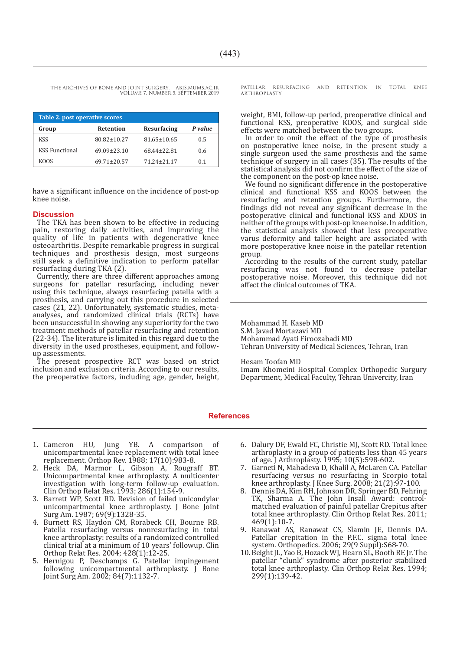THE ARCHIVES OF BONE AND JOINT SURGERY. ABJS.MUMS.AC.IR VOLUME 7. NUMBER 5. SEPTEMBER 2019

| Table 2. post operative scores |                   |                   |         |  |
|--------------------------------|-------------------|-------------------|---------|--|
| Group                          | <b>Retention</b>  | Resurfacing       | P value |  |
| <b>KSS</b>                     | 80.82±10.27       | $81.65 \pm 10.65$ | 0.5     |  |
| <b>KSS Functional</b>          | $69.09 \pm 23.10$ | 68.44+22.81       | 0.6     |  |
| KOOS                           | $69.71 \pm 20.57$ | 71.24+21.17       | 0.1     |  |

have a significant influence on the incidence of post-op knee noise.

#### **Discussion**

The TKA has been shown to be effective in reducing pain, restoring daily activities, and improving the quality of life in patients with degenerative knee osteoarthritis. Despite remarkable progress in surgical techniques and prosthesis design, most surgeons still seek a definitive indication to perform patellar resurfacing during TKA (2).

Currently, there are three different approaches among surgeons for patellar resurfacing, including never using this technique, always resurfacing patella with a prosthesis, and carrying out this procedure in selected cases (21, 22). Unfortunately, systematic studies, metaanalyses, and randomized clinical trials (RCTs) have been unsuccessful in showing any superiority for the two treatment methods of patellar resurfacing and retention (22-34). The literature is limited in this regard due to the diversity in the used prostheses, equipment, and followup assessments.

The present prospective RCT was based on strict inclusion and exclusion criteria. According to our results, the preoperative factors, including age, gender, height, PATELLAR RESURFACING AND RETENTION IN TOTAL KNEE **ARTHROPLASTY** 

weight, BMI, follow-up period, preoperative clinical and functional KSS, preoperative KOOS, and surgical side effects were matched between the two groups.

In order to omit the effect of the type of prosthesis on postoperative knee noise, in the present study a single surgeon used the same prosthesis and the same technique of surgery in all cases (35). The results of the statistical analysis did not confirm the effect of the size of the component on the post-op knee noise.

We found no significant difference in the postoperative clinical and functional KSS and KOOS between the resurfacing and retention groups. Furthermore, the findings did not reveal any significant decrease in the postoperative clinical and functional KSS and KOOS in neither of the groups with post-op knee noise. In addition, the statistical analysis showed that less preoperative varus deformity and taller height are associated with more postoperative knee noise in the patellar retention group.

According to the results of the current study, patellar resurfacing was not found to decrease patellar postoperative noise. Moreover, this technique did not affect the clinical outcomes of TKA.

Mohammad H. Kaseb MD S.M. Javad Mortazavi MD Mohammad Ayati Firoozabadi MD Tehran University of Medical Sciences, Tehran, Iran

Hesam Toofan MD

Imam Khomeini Hospital Complex Orthopedic Surgury Department, Medical Faculty, Tehran Univercity, Iran

#### **References**

- 1. Cameron HU, Jung YB. A comparison of unicompartmental knee replacement with total knee replacement. Orthop Rev. 1988; 17(10):983-8.
- 2. Heck DA, Marmor L, Gibson A, Rougraff BT. Unicompartmental knee arthroplasty. A multicenter investigation with long-term follow-up evaluation. Clin Orthop Relat Res. 1993; 286(1):154-9.
- 3. Barrett WP, Scott RD. Revision of failed unicondylar unicompartmental knee arthroplasty. J Bone Joint Surg Am. 1987; 69(9):1328-35.
- 4. Burnett RS, Haydon CM, Rorabeck CH, Bourne RB. Patella resurfacing versus nonresurfacing in total knee arthroplasty: results of a randomized controlled clinical trial at a minimum of 10 years' followup. Clin Orthop Relat Res. 2004; 428(1):12-25.
- 5. Hernigou P, Deschamps G. Patellar impingement following unicompartmental arthroplasty. J Bone Joint Surg Am. 2002; 84(7):1132-7.
- 6. Dalury DF, Ewald FC, Christie MJ, Scott RD. Total knee arthroplasty in a group of patients less than 45 years of age. J Arthroplasty. 1995; 10(5):598-602.
- 7. Garneti N, Mahadeva D, Khalil A, McLaren CA. Patellar resurfacing versus no resurfacing in Scorpio total knee arthroplasty. J Knee Surg. 2008; 21(2):97-100.
- 8. Dennis DA, Kim RH, Johnson DR, Springer BD, Fehring TK, Sharma A. The John Insall Award: controlmatched evaluation of painful patellar Crepitus after total knee arthroplasty. Clin Orthop Relat Res. 2011; 469(1):10-7.
- 9. Ranawat AS, Ranawat CS, Slamin JE, Dennis DA. Patellar crepitation in the P.F.C. sigma total knee system. Orthopedics. 2006; 29(9 Suppl):S68-70.
- 10.Beight JL, Yao B, Hozack WJ, Hearn SL, Booth RE Jr. The patellar "clunk" syndrome after posterior stabilized total knee arthroplasty. Clin Orthop Relat Res. 1994; 299(1):139-42.